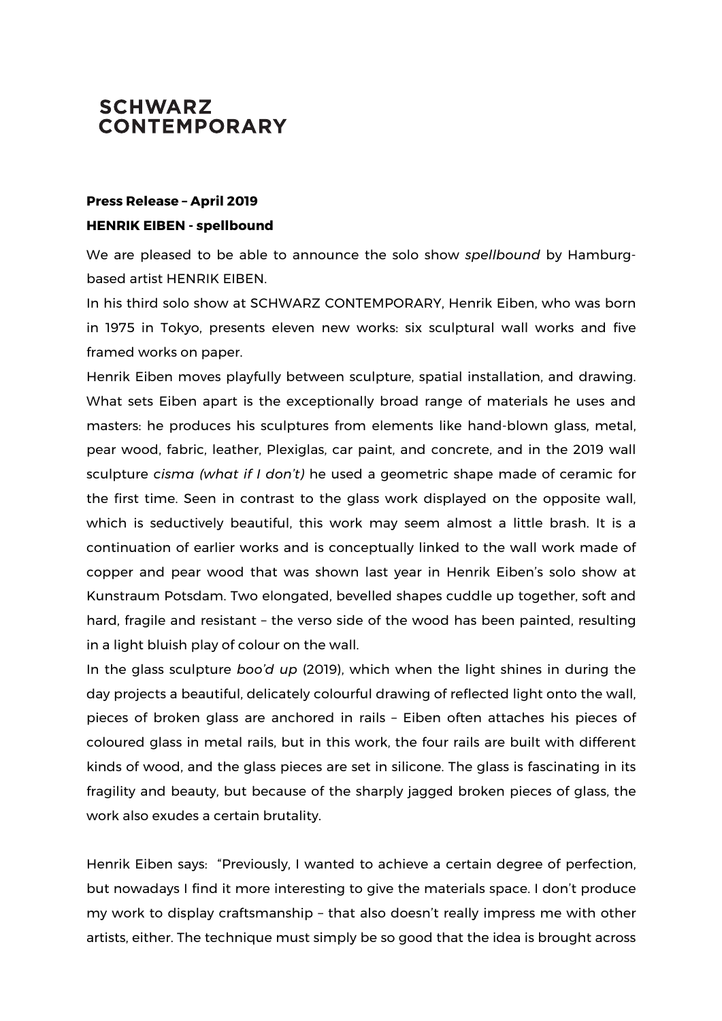## **SCHWARZ CONTEMPORARY**

## **Press Release – April 2019 HENRIK EIBEN - spellbound**

We are pleased to be able to announce the solo show *spellbound* by Hamburgbased artist HENRIK EIBEN.

In his third solo show at SCHWARZ CONTEMPORARY, Henrik Eiben, who was born in 1975 in Tokyo, presents eleven new works: six sculptural wall works and five framed works on paper.

Henrik Eiben moves playfully between sculpture, spatial installation, and drawing. What sets Eiben apart is the exceptionally broad range of materials he uses and masters: he produces his sculptures from elements like hand-blown glass, metal, pear wood, fabric, leather, Plexiglas, car paint, and concrete, and in the 2019 wall sculpture *cisma (what if I don't)* he used a geometric shape made of ceramic for the first time. Seen in contrast to the glass work displayed on the opposite wall, which is seductively beautiful, this work may seem almost a little brash. It is a continuation of earlier works and is conceptually linked to the wall work made of copper and pear wood that was shown last year in Henrik Eiben's solo show at Kunstraum Potsdam. Two elongated, bevelled shapes cuddle up together, soft and hard, fragile and resistant – the verso side of the wood has been painted, resulting in a light bluish play of colour on the wall.

In the glass sculpture *boo'd up* (2019), which when the light shines in during the day projects a beautiful, delicately colourful drawing of reflected light onto the wall, pieces of broken glass are anchored in rails – Eiben often attaches his pieces of coloured glass in metal rails, but in this work, the four rails are built with different kinds of wood, and the glass pieces are set in silicone. The glass is fascinating in its fragility and beauty, but because of the sharply jagged broken pieces of glass, the work also exudes a certain brutality.

Henrik Eiben says: "Previously, I wanted to achieve a certain degree of perfection, but nowadays I find it more interesting to give the materials space. I don't produce my work to display craftsmanship – that also doesn't really impress me with other artists, either. The technique must simply be so good that the idea is brought across